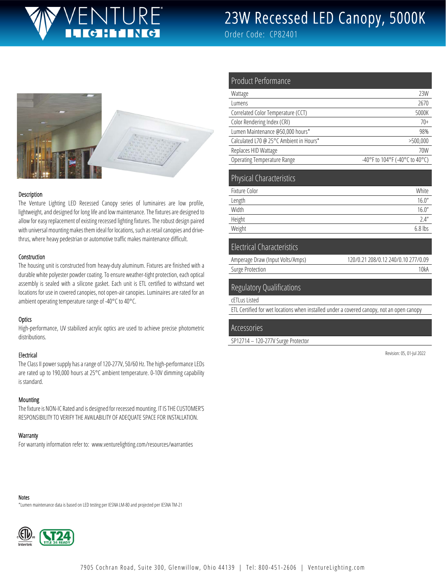# JRF

# 23W Recessed LED Canopy, 5000K

Order Code: CP82401

Product Performance





#### Description

The Venture Lighting LED Recessed Canopy series of luminaires are low profile, lightweight, and designed for long life and low maintenance. The fixtures are designed to allow for easy replacement of existing recessed lighting fixtures. The robust design paired with universal mounting makes them ideal for locations, such as retail canopies and drivethrus, where heavy pedestrian or automotive traffic makes maintenance difficult.

#### Construction

The housing unit is constructed from heavy-duty aluminum. Fixtures are finished with a durable white polyester powder coating. To ensure weather-tight protection, each optical assembly is sealed with a silicone gasket. Each unit is ETL certified to withstand wet locations for use in covered canopies, not open-air canopies. Luminaires are rated for an ambient operating temperature range of -40°C to 40°C.

#### **Optics**

High-performance, UV stabilized acrylic optics are used to achieve precise photometric distributions.

#### Electrical

The Class II power supply has a range of 120-277V, 50/60 Hz. The high-performance LEDs are rated up to 190,000 hours at 25°C ambient temperature. 0-10V dimming capability is standard.

#### **Mounting**

The fixture is NON-IC Rated and is designed for recessed mounting. IT IS THE CUSTOMER'S RESPONSIBILITY TO VERIFY THE AVAILABILITY OF ADEQUATE SPACE FOR INSTALLATION.

#### **Warranty**

For warranty information refer to: www.venturelighting.com/resources/warranties

| Wattage                                 | 23W                            |
|-----------------------------------------|--------------------------------|
| Lumens                                  | 2670                           |
| Correlated Color Temperature (CCT)      | 5000K                          |
| Color Rendering Index (CRI)             | $70+$                          |
| Lumen Maintenance @50,000 hours*        | 98%                            |
| Calculated L70 @ 25°C Ambient in Hours* | >500,000                       |
| Replaces HID Wattage                    | 70W                            |
| <b>Operating Temperature Range</b>      | -40°F to 104°F (-40°C to 40°C) |
|                                         |                                |
| <b>Physical Characteristics</b>         |                                |
| Fixture Color                           | White                          |
| Length                                  | 16.0''                         |
| Width                                   | 16.0''                         |
| Height                                  | 2.4''                          |

#### Electrical Characteristics

| Amperage Draw (Input Volts/Amps) | 120/0.21 208/0.12 240/0.10 277/0.09 |
|----------------------------------|-------------------------------------|
| Surge Protection                 | 10kA                                |

#### Regulatory Qualifications

cETLus Listed

ETL Certified for wet locations when installed under a covered canopy, not an open canopy

#### Accessories

SP12714 – 120-277V Surge Protector

Revision: 05, 01-Jul 2022

#### Notes

\*Lumen maintenance data is based on LED testing per IESNA LM-80 and projected per IESNA TM-21